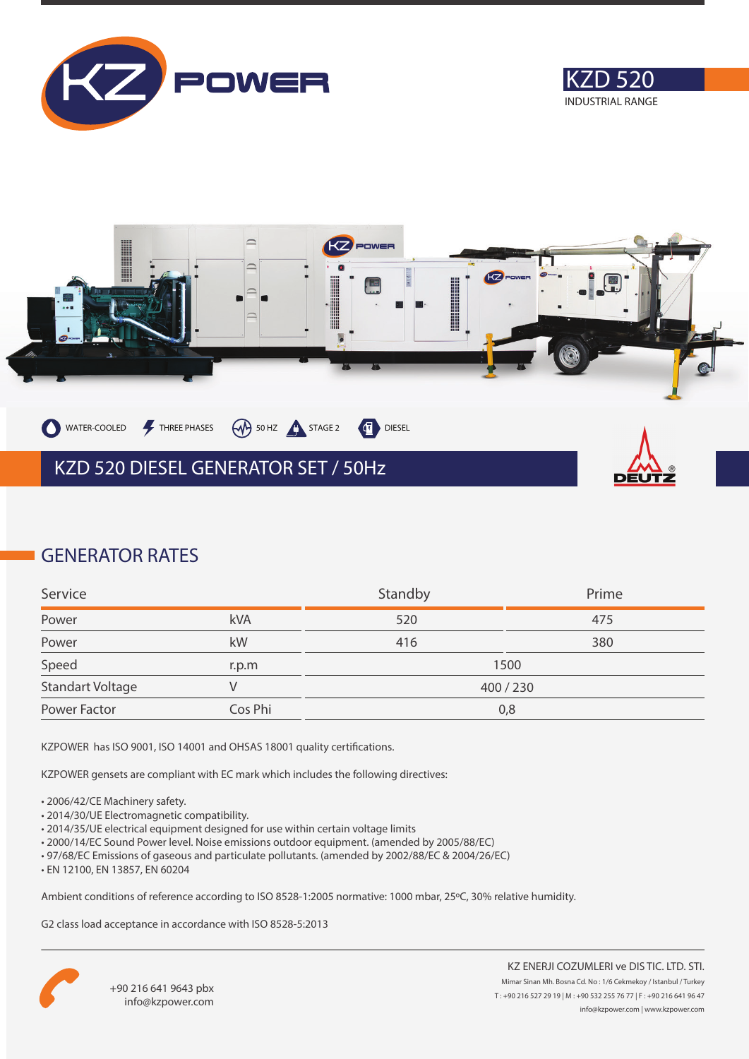





### **GENERATOR RATES**

| Service                 |         | Standby   | Prime |
|-------------------------|---------|-----------|-------|
| Power                   | kVA     | 520       | 475   |
| Power                   | kW      | 416       | 380   |
| Speed                   | r.p.m   | 1500      |       |
| <b>Standart Voltage</b> |         | 400 / 230 |       |
| Power Factor            | Cos Phi | 0,8       |       |

KZPOWER has ISO 9001, ISO 14001 and OHSAS 18001 quality certifications.

KZPOWER gensets are compliant with EC mark which includes the following directives:

- 2006/42/CE Machinery safety.
- 2014/30/UE Electromagnetic compatibility.
- 2014/35/UE electrical equipment designed for use within certain voltage limits
- 2000/14/EC Sound Power level. Noise emissions outdoor equipment. (amended by 2005/88/EC)
- 97/68/EC Emissions of gaseous and particulate pollutants. (amended by 2002/88/EC & 2004/26/EC)
- EN 12100, EN 13857, EN 60204

Ambient conditions of reference according to ISO 8528-1:2005 normative: 1000 mbar, 25ºC, 30% relative humidity.

G2 class load acceptance in accordance with ISO 8528-5:2013

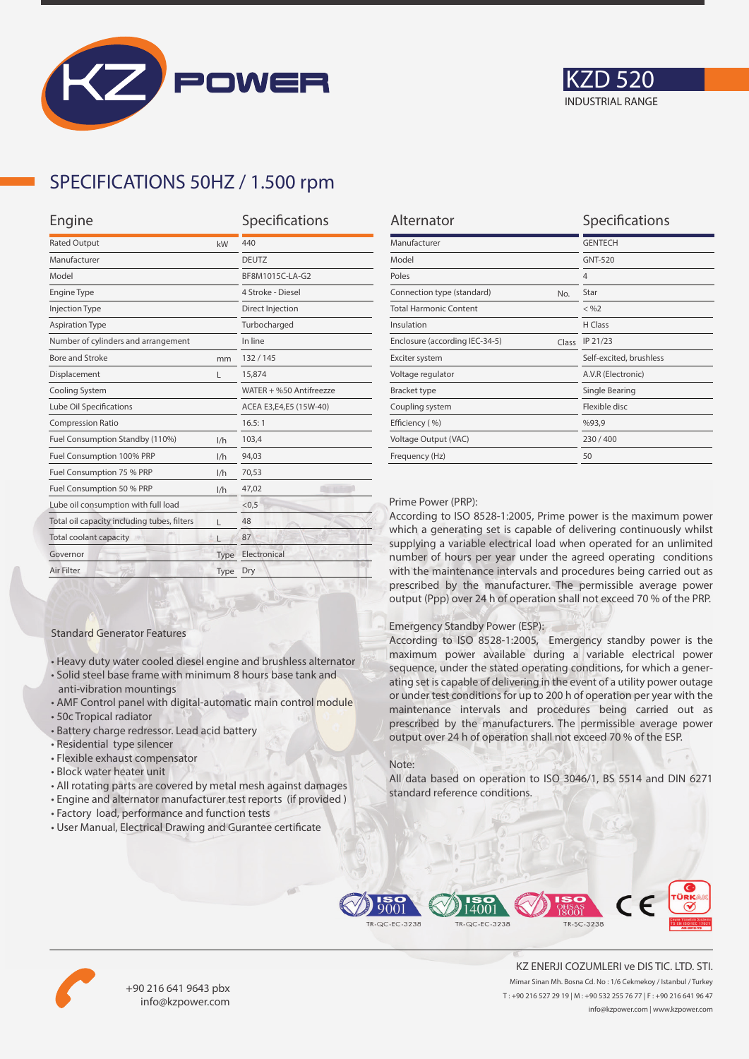



## **SPECIFICATIONS 50HZ / 1.500 rpm**

| Engine                                      |      | Specifications          |  |
|---------------------------------------------|------|-------------------------|--|
| <b>Rated Output</b><br>kW                   |      | 440                     |  |
| Manufacturer                                |      | <b>DEUTZ</b>            |  |
| Model                                       |      | BF8M1015C-LA-G2         |  |
| <b>Engine Type</b>                          |      | 4 Stroke - Diesel       |  |
| <b>Injection Type</b>                       |      | Direct Injection        |  |
| <b>Aspiration Type</b>                      |      | Turbocharged            |  |
| Number of cylinders and arrangement         |      | In line                 |  |
| <b>Bore and Stroke</b>                      | mm   | 132/145                 |  |
| Displacement                                | L    | 15,874                  |  |
| Cooling System                              |      | WATER + %50 Antifreezze |  |
| Lube Oil Specifications                     |      | ACEA E3,E4,E5 (15W-40)  |  |
| <b>Compression Ratio</b>                    |      | 16.5:1                  |  |
| Fuel Consumption Standby (110%)             | 1/h  | 103,4                   |  |
| Fuel Consumption 100% PRP                   | 1/h  | 94,03                   |  |
| Fuel Consumption 75 % PRP                   | 1/h  | 70,53                   |  |
| Fuel Consumption 50 % PRP                   | 1/h  | 47,02                   |  |
| Lube oil consumption with full load         |      | < 0, 5                  |  |
| Total oil capacity including tubes, filters | г    | 48                      |  |
| Total coolant capacity                      |      | 87                      |  |
| Governor                                    | Type | Electronical            |  |
| Air Filter                                  | Type | Dry                     |  |
|                                             |      |                         |  |

| Alternator                              | Specifications          |
|-----------------------------------------|-------------------------|
| Manufacturer                            | <b>GENTECH</b>          |
| Model                                   | GNT-520                 |
| Poles                                   | $\overline{4}$          |
| Connection type (standard)<br>No.       | Star                    |
| <b>Total Harmonic Content</b>           | $<$ %2                  |
| Insulation                              | H Class                 |
| Enclosure (according IEC-34-5)<br>Class | IP 21/23                |
| Exciter system                          | Self-excited, brushless |
| Voltage regulator                       | A.V.R (Electronic)      |
| <b>Bracket type</b>                     | Single Bearing          |
| Coupling system                         | Flexible disc           |
| Efficiency (%)                          | %93,9                   |
| Voltage Output (VAC)                    | 230/400                 |
| Frequency (Hz)                          | 50                      |

#### Prime Power (PRP):

According to ISO 8528-1:2005, Prime power is the maximum power which a generating set is capable of delivering continuously whilst supplying a variable electrical load when operated for an unlimited number of hours per year under the agreed operating conditions with the maintenance intervals and procedures being carried out as prescribed by the manufacturer. The permissible average power output (Ppp) over 24 h of operation shall not exceed 70 % of the PRP.

#### Emergency Standby Power (ESP):

According to ISO 8528-1:2005, Emergency standby power is the maximum power available during a variable electrical power sequence, under the stated operating conditions, for which a generating set is capable of delivering in the event of a utility power outage or under test conditions for up to 200 h of operation per year with the maintenance intervals and procedures being carried out as prescribed by the manufacturers. The permissible average power output over 24 h of operation shall not exceed 70 % of the ESP.

#### Note:

All data based on operation to ISO 3046/1, BS 5514 and DIN 6271 standard reference conditions.



• All rotating parts are covered by metal mesh against damages

• Heavy duty water cooled diesel engine and brushless alternator • Solid steel base frame with minimum 8 hours base tank and

• AMF Control panel with digital-automatic main control module

• User Manual, Electrical Drawing and Gurantee certificate

Standard Generator Features

anti-vibration mountings

• Residential type silencer • Flexible exhaust compensator • Block water heater unit

• Battery charge redressor. Lead acid battery

• 50c Tropical radiator





+90 216 641 9643 pbx info@kzpower.com

KZ ENERJI COZUMLERI ve DIS TIC. LTD. STI. Mimar Sinan Mh. Bosna Cd. No : 1/6 Cekmekoy / Istanbul / Turkey T : +90 216 527 29 19 | M : +90 532 255 76 77 | F : +90 216 641 96 47 info@kzpower.com | www.kzpower.com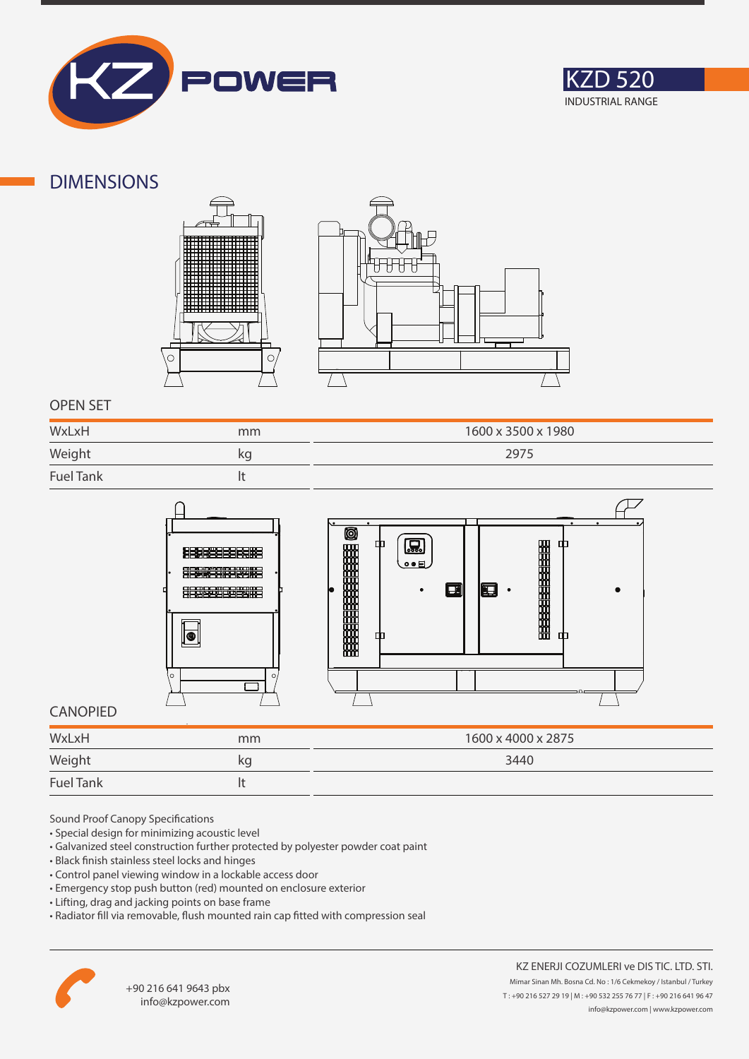



### **DIMENSIONS**





### **OPEN SET**

| WxLxH            | mm | 1600 x 3500 x 1980 |
|------------------|----|--------------------|
| Weight           | kg | 2975               |
| <b>Fuel Tank</b> |    |                    |



### **CANOPIED**

| WxLxH            | mm | 1600 x 4000 x 2875 |
|------------------|----|--------------------|
| Weight           | kq | 3440               |
| <b>Fuel Tank</b> |    |                    |

Sound Proof Canopy Specifications

- Special design for minimizing acoustic level
- Galvanized steel construction further protected by polyester powder coat paint
- Black finish stainless steel locks and hinges
- Control panel viewing window in a lockable access door
- Emergency stop push button (red) mounted on enclosure exterior
- Lifting, drag and jacking points on base frame
- Radiator fill via removable, flush mounted rain cap fitted with compression seal